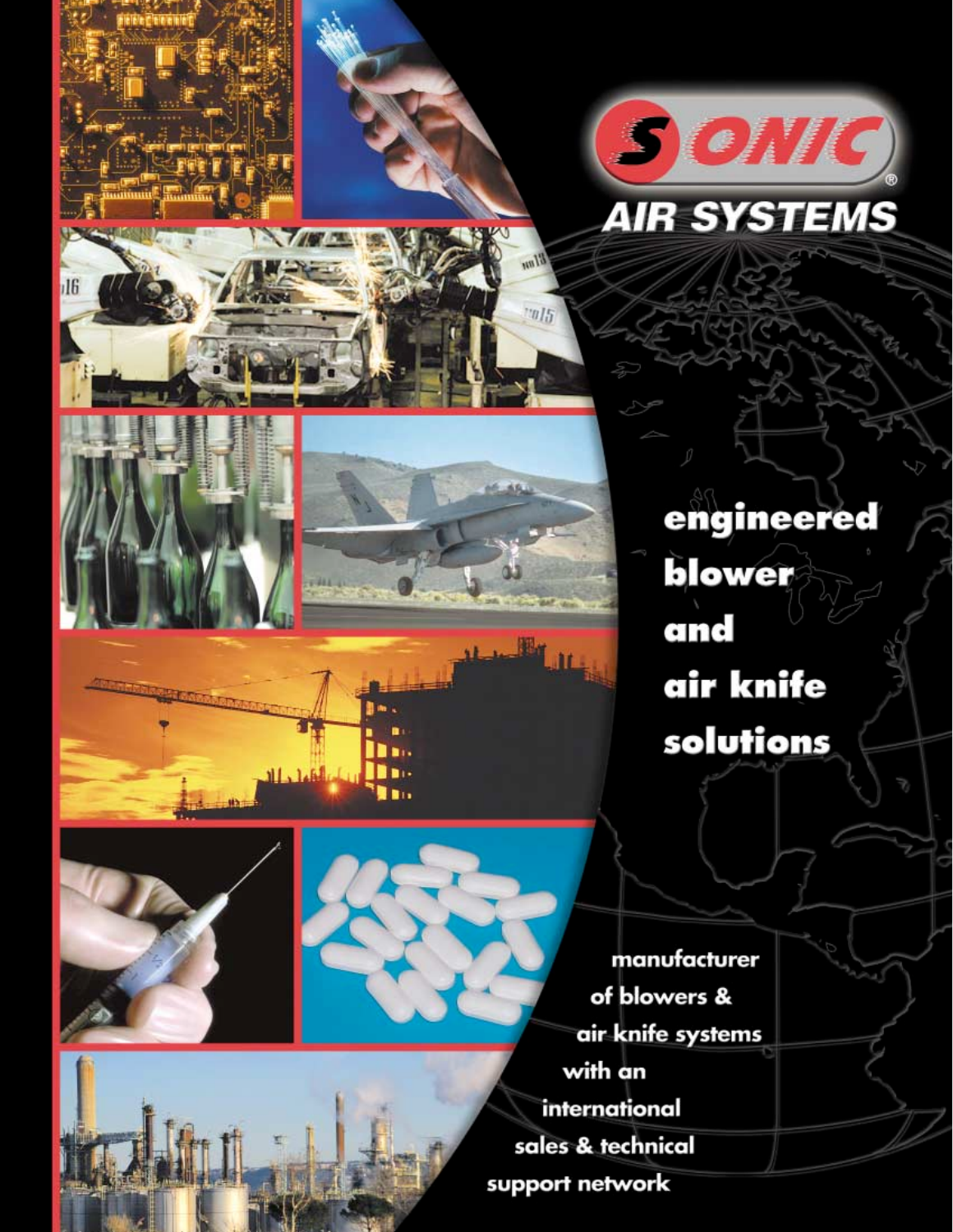

















h n III.

**The** 

الغلماء اللا

manufacturer of blowers & air knife systems with an international sales & technical support network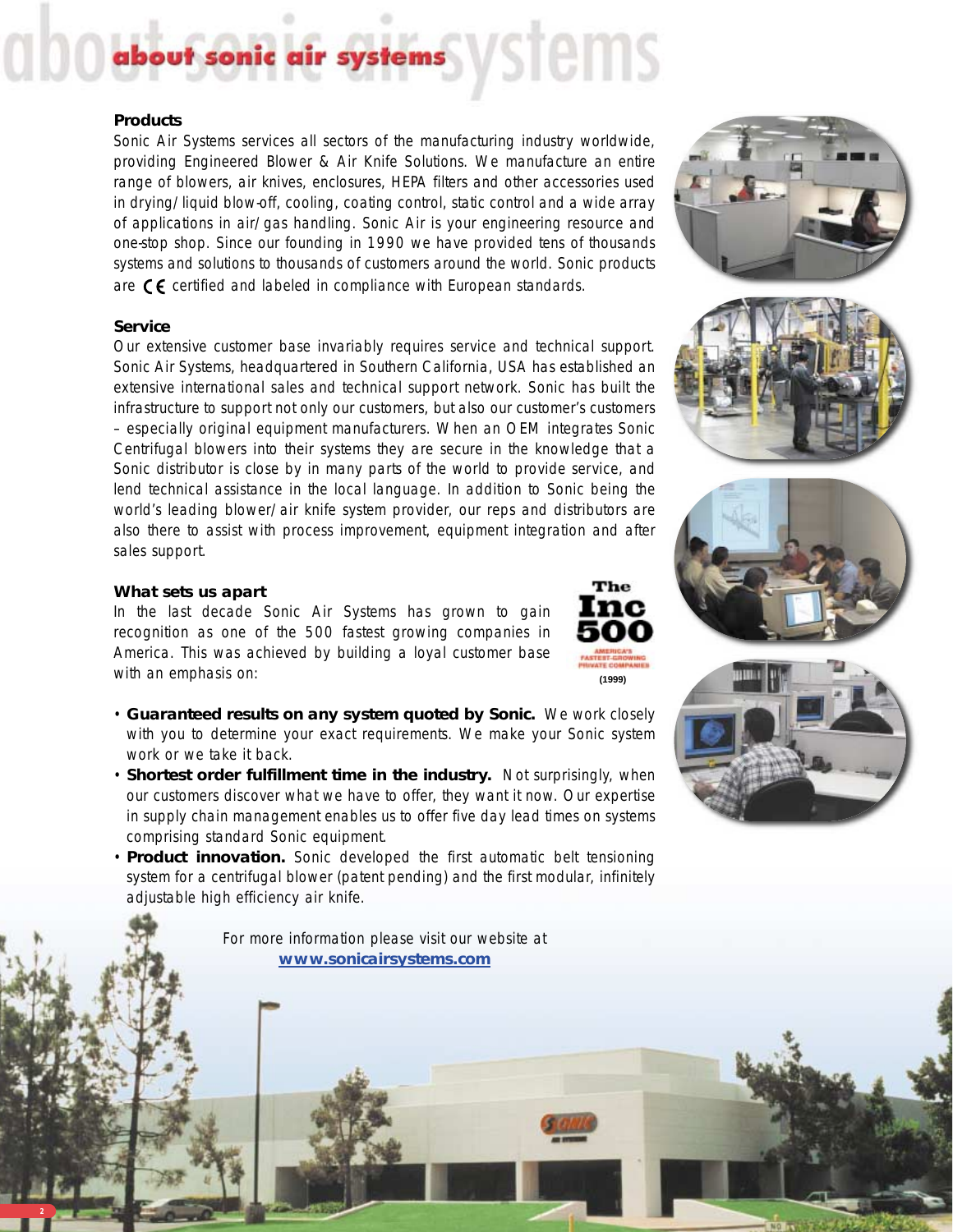# stems ystems

#### **Products**

Sonic Air Systems services all sectors of the manufacturing industry worldwide, providing Engineered Blower & Air Knife Solutions. We manufacture an entire range of blowers, air knives, enclosures, HEPA filters and other accessories used in drying/liquid blow-off, cooling, coating control, static control and a wide array of applications in air/gas handling. Sonic Air is your engineering resource and one-stop shop. Since our founding in 1990 we have provided tens of thousands systems and solutions to thousands of customers around the world. Sonic products are  $\zeta$  certified and labeled in compliance with European standards.

#### **Service**

Our extensive customer base invariably requires service and technical support. Sonic Air Systems, headquartered in Southern California, USA has established an extensive international sales and technical support network. Sonic has built the infrastructure to support not only our customers, but also our customer's customers – especially original equipment manufacturers. When an OEM integrates Sonic Centrifugal blowers into their systems they are secure in the knowledge that a Sonic distributor is close by in many parts of the world to provide service, and lend technical assistance in the local language. In addition to Sonic being the world's leading blower/air knife system provider, our reps and distributors are also there to assist with process improvement, equipment integration and after sales support.

#### **What sets us apart**

**2**

In the last decade Sonic Air Systems has grown to gain recognition as one of the 500 fastest growing companies in America. This was achieved by building a loyal customer base with an emphasis on:

- **Guaranteed results on any system quoted by Sonic.** We work closely with you to determine your exact requirements. We make your Sonic system work or we take it back.
- **Shortest order fulfillment time in the industry.** Not surprisingly, when our customers discover what we have to offer, they want it now. Our expertise in supply chain management enables us to offer five day lead times on systems comprising standard Sonic equipment.
- **Product innovation.** Sonic developed the first automatic belt tensioning system for a centrifugal blower (patent pending) and the first modular, infinitely adjustable high efficiency air knife.

For more information please visit our website at **www.sonicairsystems.com**









**(1999)**

The lnc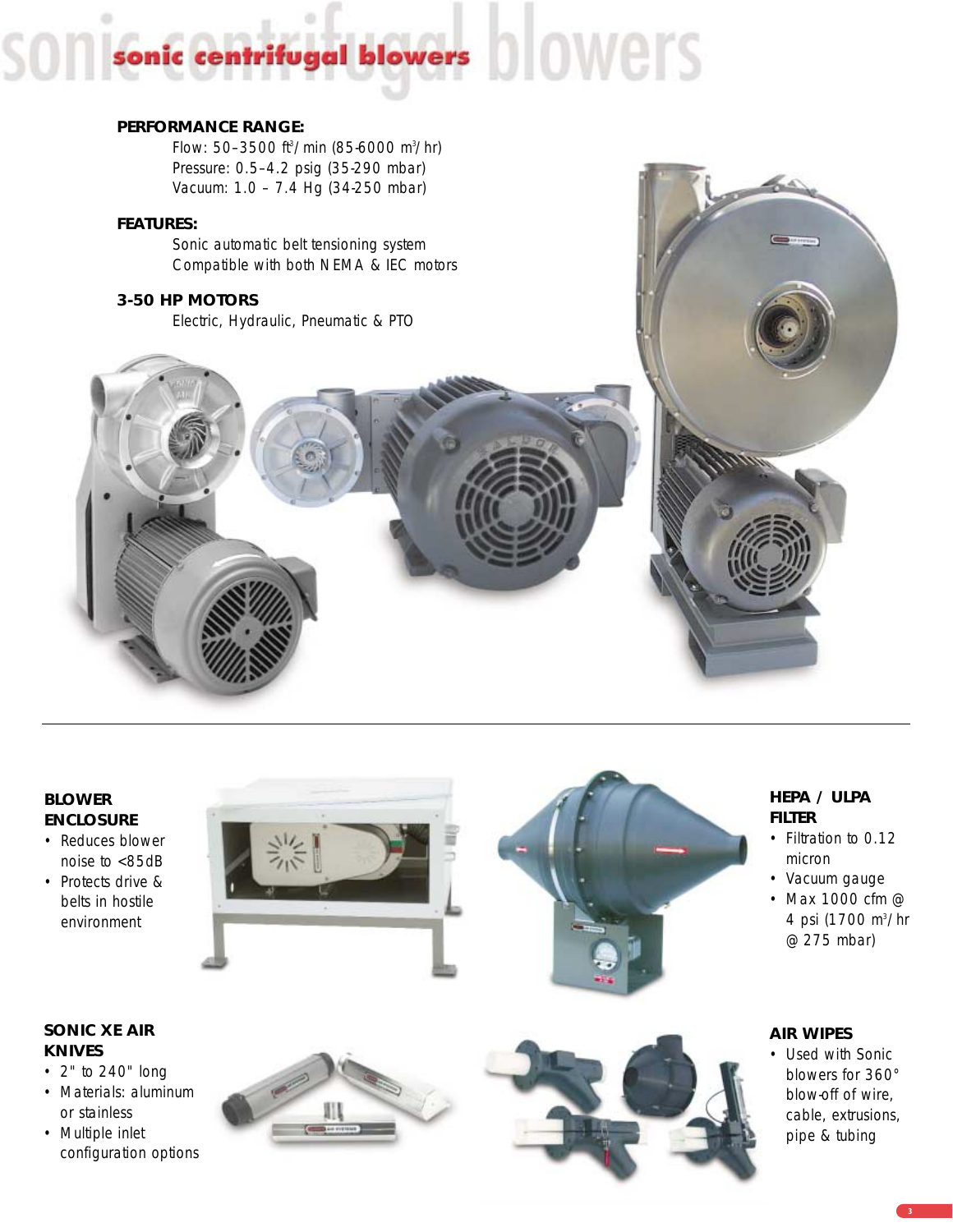# centrifugal blowers DIOWETS sonic

#### **PERFORMANCE RANGE:**

Flow: 50–3500 ft3 /min (85-6000 m3 /hr) Pressure: 0.5–4.2 psig (35-290 mbar) Vacuum: 1.0 – 7.4 Hg (34-250 mbar)

#### **FEATURES:**

Sonic automatic belt tensioning system Compatible with both NEMA & IEC motors

#### **3-50 HP MOTORS**

Electric, Hydraulic, Pneumatic & PTO



- Reduces blower noise to <85dB
- Protects drive & belts in hostile environment





#### **SONIC XE AIR KNIVES**

- 2" to 240" long
- Materials: aluminum or stainless
- Multiple inlet configuration options





#### **HEPA / ULPA FILTER**

- Filtration to 0.12 micron
- Vacuum gauge
- Max 1000 cfm @ 4 psi (1700 m<sup>3</sup>/hr @ 275 mbar)

#### **AIR WIPES**

• Used with Sonic blowers for 360° blow-off of wire, cable, extrusions, pipe & tubing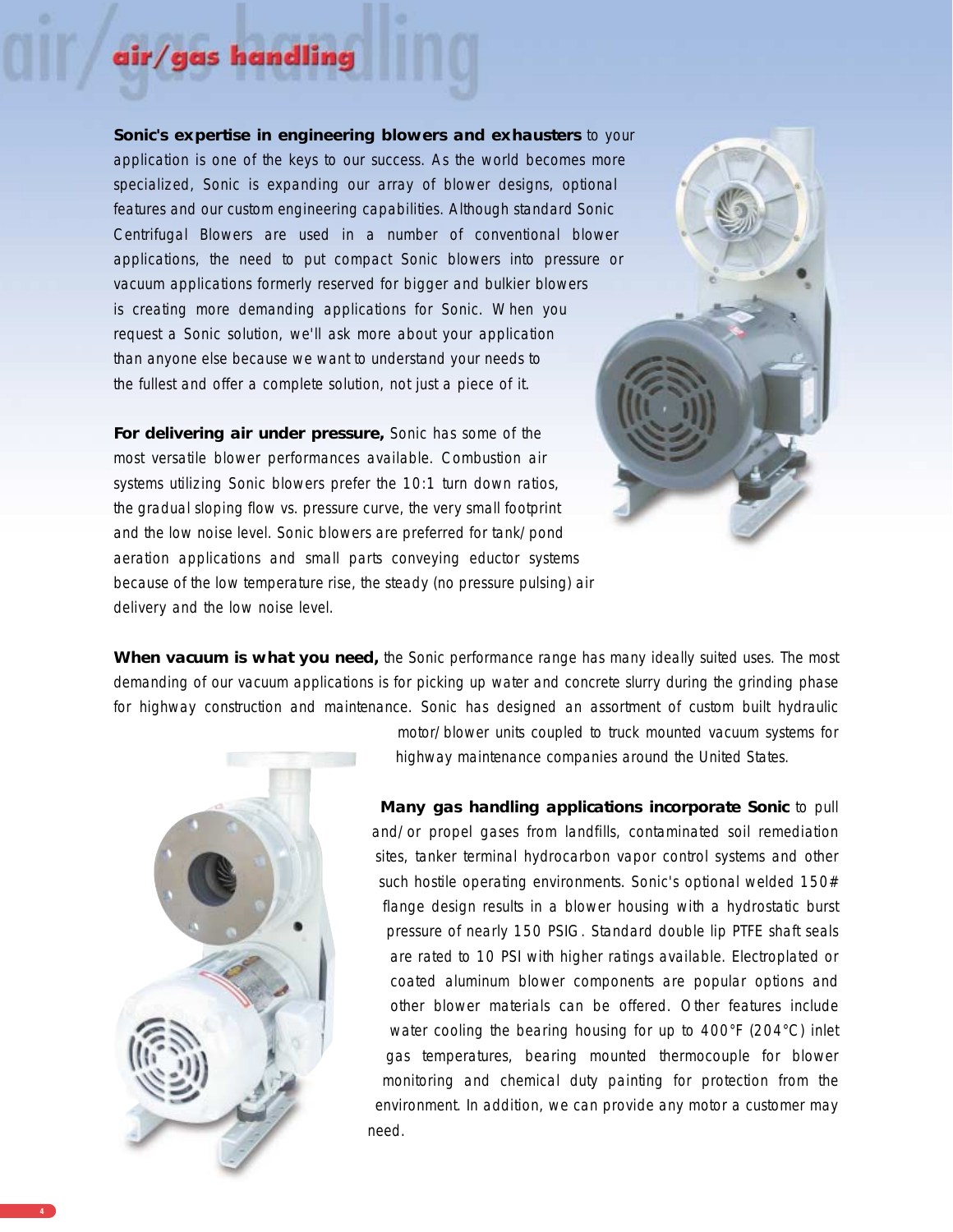#### Sonic's expertise in engineering blowers and exhausters to your application is one of the keys to our success. As the world becomes more specialized, Sonic is expanding our array of blower designs, optional features and our custom engineering capabilities. Although standard Sonic Centrifugal Blowers are used in a number of conventional blower applications, the need to put compact Sonic blowers into pressure or vacuum applications formerly reserved for bigger and bulkier blowers is creating more demanding applications for Sonic. When you request a Sonic solution, we'll ask more about your application than anyone else because we want to understand your needs to the fullest and offer a complete solution, not just a piece of it.

as handlin

**For delivering air under pressure,** Sonic has some of the most versatile blower performances available. Combustion air systems utilizing Sonic blowers prefer the 10:1 turn down ratios, the gradual sloping flow vs. pressure curve, the very small footprint and the low noise level. Sonic blowers are preferred for tank/pond aeration applications and small parts conveying eductor systems because of the low temperature rise, the steady (no pressure pulsing) air delivery and the low noise level.

When vacuum is what you need, the Sonic performance range has many ideally suited uses. The most demanding of our vacuum applications is for picking up water and concrete slurry during the grinding phase for highway construction and maintenance. Sonic has designed an assortment of custom built hydraulic



motor/blower units coupled to truck mounted vacuum systems for highway maintenance companies around the United States.

**Many gas handling applications incorporate Sonic** to pull and/or propel gases from landfills, contaminated soil remediation sites, tanker terminal hydrocarbon vapor control systems and other such hostile operating environments. Sonic's optional welded 150# flange design results in a blower housing with a hydrostatic burst pressure of nearly 150 PSIG. Standard double lip PTFE shaft seals are rated to 10 PSI with higher ratings available. Electroplated or coated aluminum blower components are popular options and other blower materials can be offered. Other features include water cooling the bearing housing for up to 400°F (204°C) inlet gas temperatures, bearing mounted thermocouple for blower monitoring and chemical duty painting for protection from the environment. In addition, we can provide any motor a customer may need.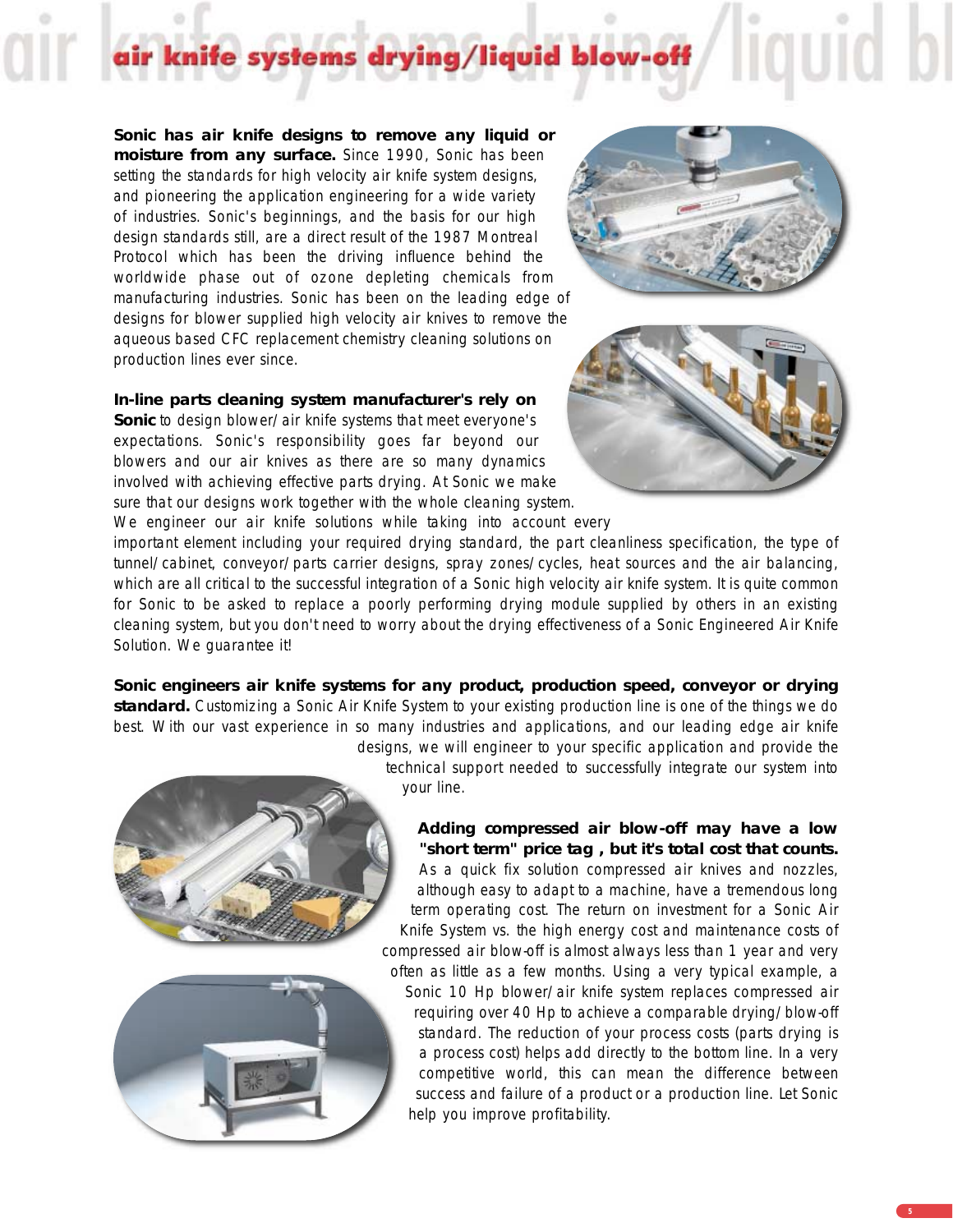# systems drying/liquid

**Sonic has air knife designs to remove any liquid or moisture from any surface.** Since 1990, Sonic has been setting the standards for high velocity air knife system designs, and pioneering the application engineering for a wide variety of industries. Sonic's beginnings, and the basis for our high design standards still, are a direct result of the 1987 Montreal Protocol which has been the driving influence behind the worldwide phase out of ozone depleting chemicals from manufacturing industries. Sonic has been on the leading edge of designs for blower supplied high velocity air knives to remove the aqueous based CFC replacement chemistry cleaning solutions on production lines ever since.

#### **In-line parts cleaning system manufacturer's rely on**

**Sonic** to design blower/air knife systems that meet everyone's expectations. Sonic's responsibility goes far beyond our blowers and our air knives as there are so many dynamics involved with achieving effective parts drying. At Sonic we make sure that our designs work together with the whole cleaning system. We engineer our air knife solutions while taking into account every





important element including your required drying standard, the part cleanliness specification, the type of tunnel/cabinet, conveyor/parts carrier designs, spray zones/cycles, heat sources and the air balancing, which are all critical to the successful integration of a Sonic high velocity air knife system. It is quite common for Sonic to be asked to replace a poorly performing drying module supplied by others in an existing cleaning system, but you don't need to worry about the drying effectiveness of a Sonic Engineered Air Knife Solution. We guarantee it!

**Sonic engineers air knife systems for any product, production speed, conveyor or drying standard.** Customizing a Sonic Air Knife System to your existing production line is one of the things we do best. With our vast experience in so many industries and applications, and our leading edge air knife designs, we will engineer to your specific application and provide the





technical support needed to successfully integrate our system into your line.

**Adding compressed air blow-off may have a low "short term" price tag , but it's total cost that counts.** As a quick fix solution compressed air knives and nozzles, although easy to adapt to a machine, have a tremendous long term operating cost. The return on investment for a Sonic Air Knife System vs. the high energy cost and maintenance costs of compressed air blow-off is almost always less than 1 year and very often as little as a few months. Using a very typical example, a Sonic 10 Hp blower/air knife system replaces compressed air requiring over 40 Hp to achieve a comparable drying/blow-off standard. The reduction of your process costs (parts drying is a process cost) helps add directly to the bottom line. In a very competitive world, this can mean the difference between success and failure of a product or a production line. Let Sonic help you improve profitability.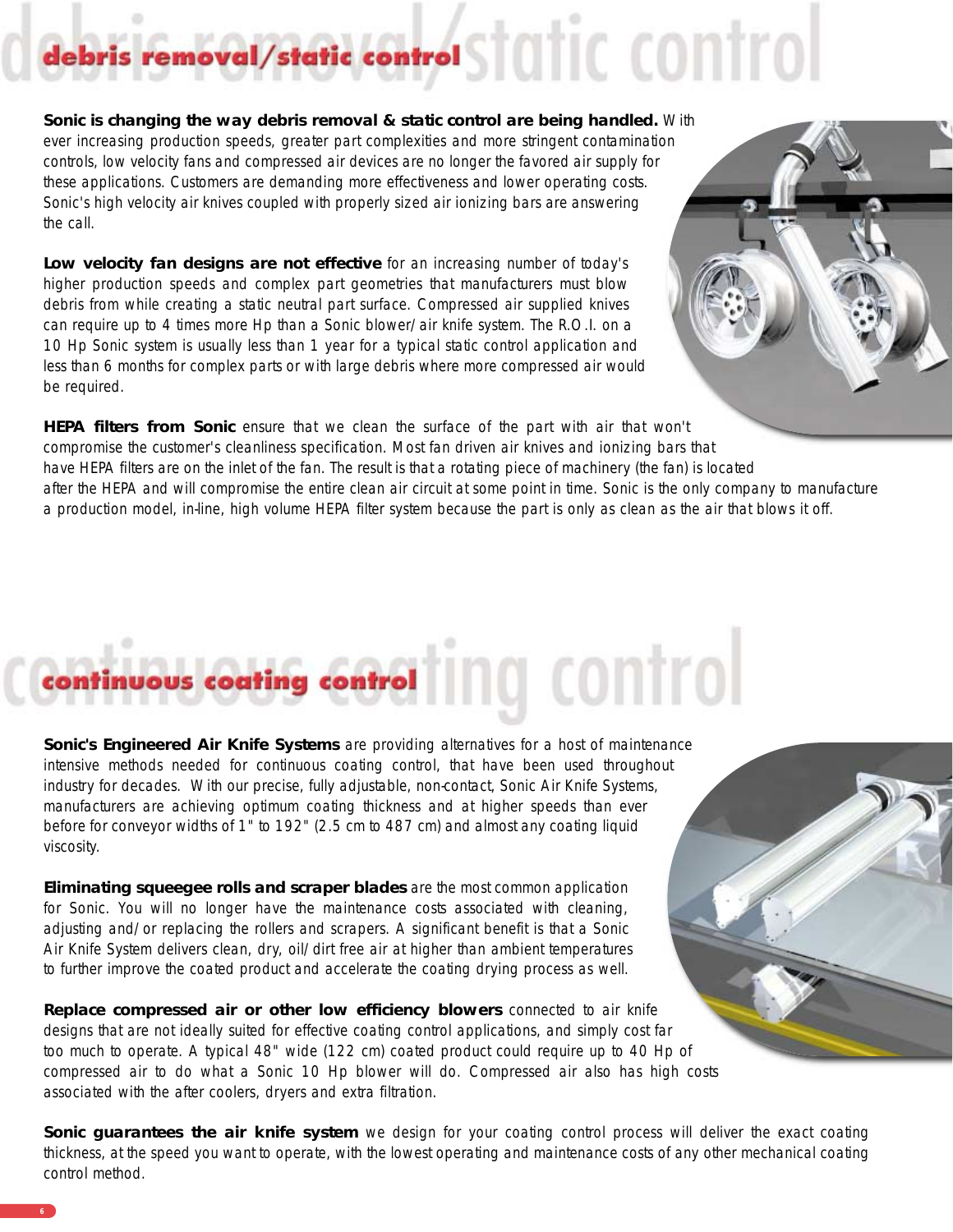# removal/static control STOTIC CONTTO

**Sonic is changing the way debris removal & static control are being handled.** With ever increasing production speeds, greater part complexities and more stringent contamination controls, low velocity fans and compressed air devices are no longer the favored air supply for these applications. Customers are demanding more effectiveness and lower operating costs. Sonic's high velocity air knives coupled with properly sized air ionizing bars are answering the call.

**Low velocity fan designs are not effective** for an increasing number of today's higher production speeds and complex part geometries that manufacturers must blow debris from while creating a static neutral part surface. Compressed air supplied knives can require up to 4 times more Hp than a Sonic blower/air knife system. The R.O.I. on a 10 Hp Sonic system is usually less than 1 year for a typical static control application and less than 6 months for complex parts or with large debris where more compressed air would be required.



**HEPA filters from Sonic** ensure that we clean the surface of the part with air that won't compromise the customer's cleanliness specification. Most fan driven air knives and ionizing bars that have HEPA filters are on the inlet of the fan. The result is that a rotating piece of machinery (the fan) is located after the HEPA and will compromise the entire clean air circuit at some point in time. Sonic is the only company to manufacture a production model, in-line, high volume HEPA filter system because the part is only as clean as the air that blows it off.

# ing control

Sonic's Engineered Air Knife Systems are providing alternatives for a host of maintenance intensive methods needed for continuous coating control, that have been used throughout industry for decades. With our precise, fully adjustable, non-contact, Sonic Air Knife Systems, manufacturers are achieving optimum coating thickness and at higher speeds than ever before for conveyor widths of 1" to 192" (2.5 cm to 487 cm) and almost any coating liquid viscosity.

**Eliminating squeegee rolls and scraper blades** are the most common application for Sonic. You will no longer have the maintenance costs associated with cleaning, adjusting and/or replacing the rollers and scrapers. A significant benefit is that a Sonic Air Knife System delivers clean, dry, oil/dirt free air at higher than ambient temperatures to further improve the coated product and accelerate the coating drying process as well.

**Replace compressed air or other low efficiency blowers** connected to air knife designs that are not ideally suited for effective coating control applications, and simply cost far too much to operate. A typical 48" wide (122 cm) coated product could require up to 40 Hp of compressed air to do what a Sonic 10 Hp blower will do. Compressed air also has high costs associated with the after coolers, dryers and extra filtration.

**Sonic guarantees the air knife system** we design for your coating control process will deliver the exact coating thickness, at the speed you want to operate, with the lowest operating and maintenance costs of any other mechanical coating control method.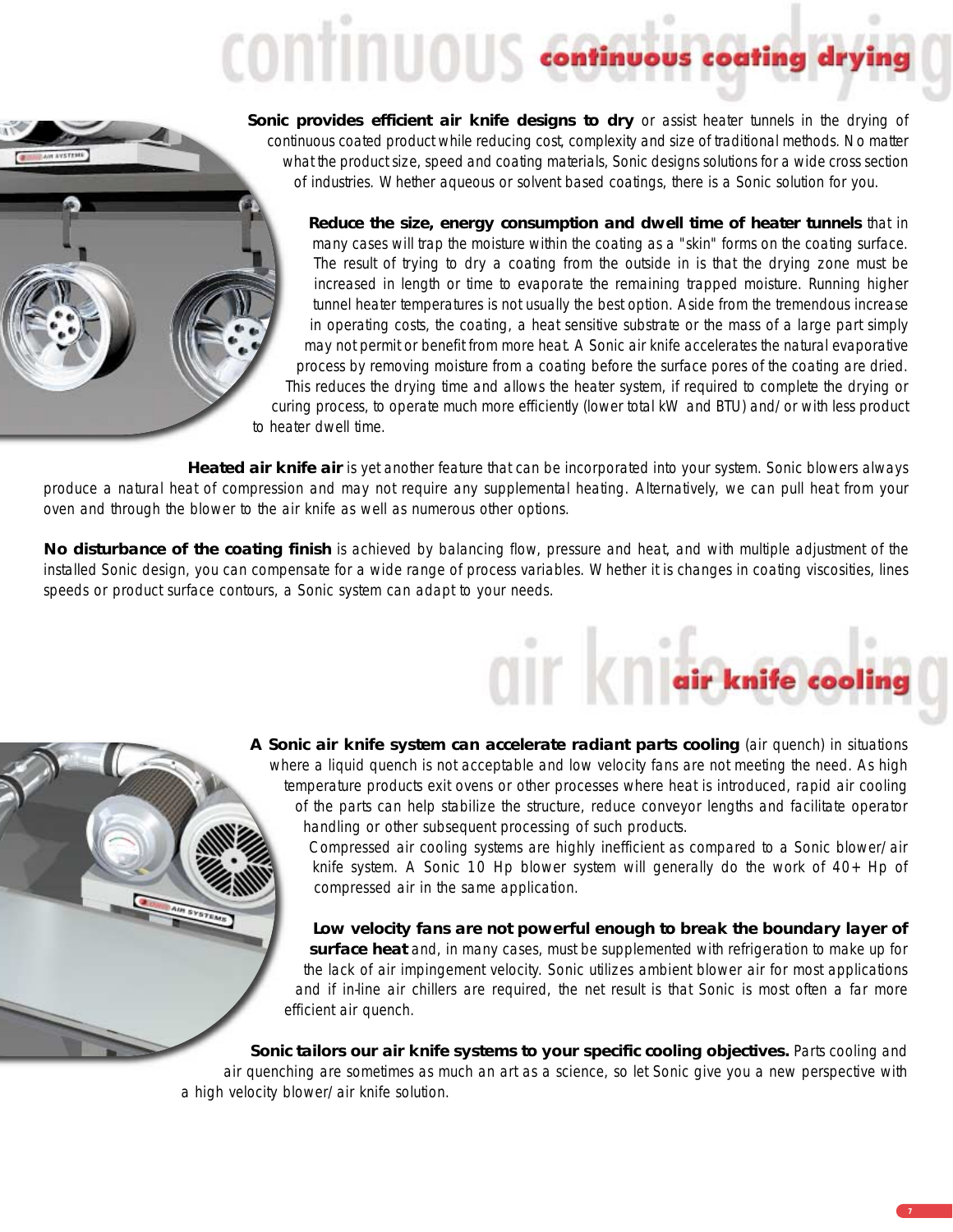# continuous continuous coating dryin

Sonic provides efficient air knife designs to dry or assist heater tunnels in the drying of continuous coated product while reducing cost, complexity and size of traditional methods. No matter what the product size, speed and coating materials, Sonic designs solutions for a wide cross section of industries. Whether aqueous or solvent based coatings, there is a Sonic solution for you.

**Reduce the size, energy consumption and dwell time of heater tunnels** that in many cases will trap the moisture within the coating as a "skin" forms on the coating surface. The result of trying to dry a coating from the outside in is that the drying zone must be increased in length or time to evaporate the remaining trapped moisture. Running higher tunnel heater temperatures is not usually the best option. Aside from the tremendous increase in operating costs, the coating, a heat sensitive substrate or the mass of a large part simply may not permit or benefit from more heat. A Sonic air knife accelerates the natural evaporative process by removing moisture from a coating before the surface pores of the coating are dried. This reduces the drying time and allows the heater system, if required to complete the drying or curing process, to operate much more efficiently (lower total kW and BTU) and/or with less product to heater dwell time.

**Heated air knife air** is yet another feature that can be incorporated into your system. Sonic blowers always produce a natural heat of compression and may not require any supplemental heating. Alternatively, we can pull heat from your oven and through the blower to the air knife as well as numerous other options.

**No disturbance of the coating finish** is achieved by balancing flow, pressure and heat, and with multiple adjustment of the installed Sonic design, you can compensate for a wide range of process variables. Whether it is changes in coating viscosities, lines speeds or product surface contours, a Sonic system can adapt to your needs.

> **A Sonic air knife system can accelerate radiant parts cooling** (air quench) in situations where a liquid quench is not acceptable and low velocity fans are not meeting the need. As high temperature products exit ovens or other processes where heat is introduced, rapid air cooling of the parts can help stabilize the structure, reduce conveyor lengths and facilitate operator handling or other subsequent processing of such products.

Compressed air cooling systems are highly inefficient as compared to a Sonic blower/air knife system. A Sonic 10 Hp blower system will generally do the work of 40+ Hp of compressed air in the same application.

CIT Knie knife coo

**Low velocity fans are not powerful enough to break the boundary layer of surface heat** and, in many cases, must be supplemented with refrigeration to make up for the lack of air impingement velocity. Sonic utilizes ambient blower air for most applications and if in-line air chillers are required, the net result is that Sonic is most often a far more efficient air quench.

**Sonic tailors our air knife systems to your specific cooling objectives.** Parts cooling and air quenching are sometimes as much an art as a science, so let Sonic give you a new perspective with a high velocity blower/air knife solution.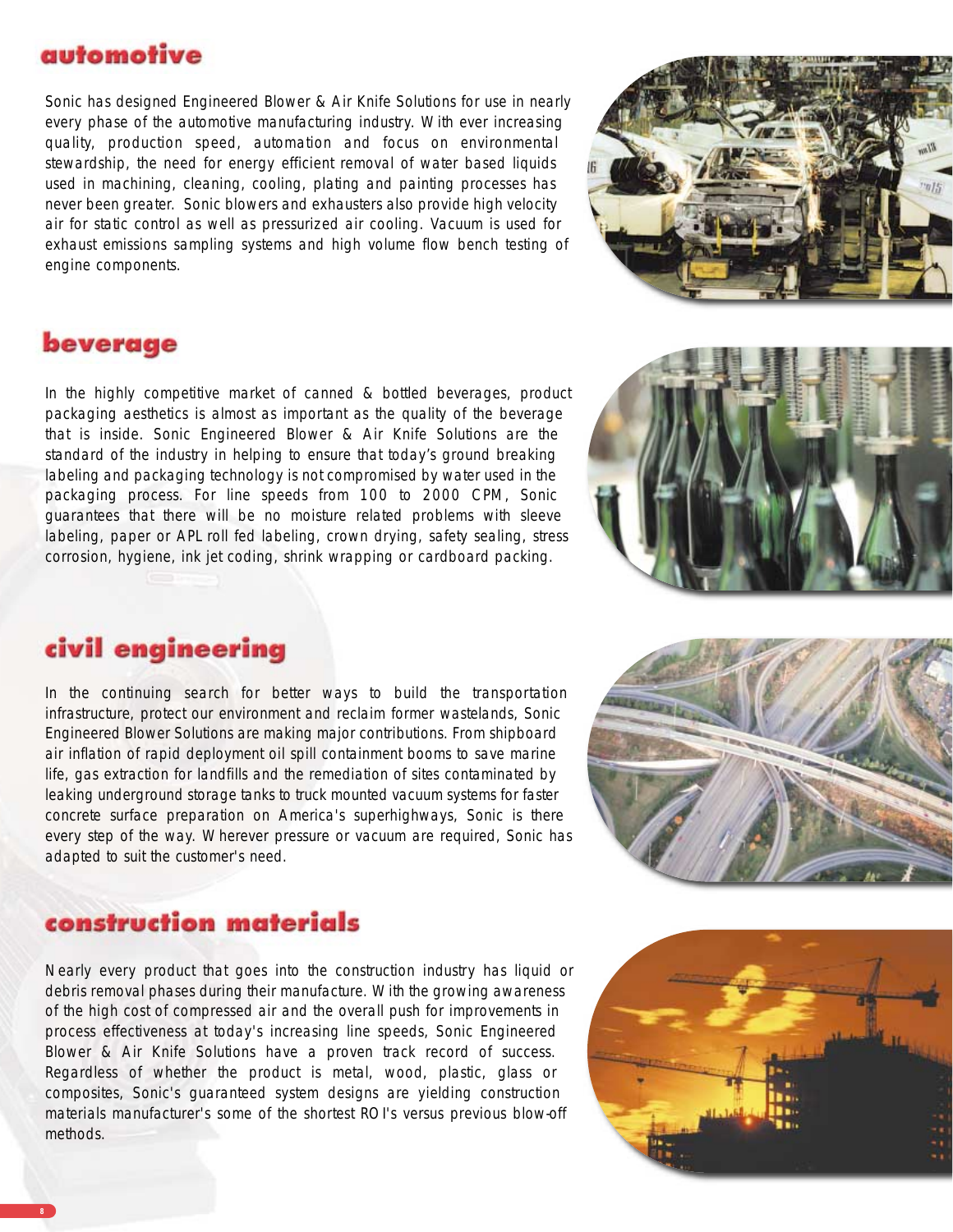# automotive

Sonic has designed Engineered Blower & Air Knife Solutions for use in nearly every phase of the automotive manufacturing industry. With ever increasing quality, production speed, automation and focus on environmental stewardship, the need for energy efficient removal of water based liquids used in machining, cleaning, cooling, plating and painting processes has never been greater. Sonic blowers and exhausters also provide high velocity air for static control as well as pressurized air cooling. Vacuum is used for exhaust emissions sampling systems and high volume flow bench testing of engine components.

# beverage

In the highly competitive market of canned & bottled beverages, product packaging aesthetics is almost as important as the quality of the beverage that is inside. Sonic Engineered Blower & Air Knife Solutions are the standard of the industry in helping to ensure that today's ground breaking labeling and packaging technology is not compromised by water used in the packaging process. For line speeds from 100 to 2000 CPM, Sonic guarantees that there will be no moisture related problems with sleeve labeling, paper or APL roll fed labeling, crown drying, safety sealing, stress corrosion, hygiene, ink jet coding, shrink wrapping or cardboard packing.



# civil engineering

In the continuing search for better ways to build the transportation infrastructure, protect our environment and reclaim former wastelands, Sonic Engineered Blower Solutions are making major contributions. From shipboard air inflation of rapid deployment oil spill containment booms to save marine life, gas extraction for landfills and the remediation of sites contaminated by leaking underground storage tanks to truck mounted vacuum systems for faster concrete surface preparation on America's superhighways, Sonic is there every step of the way. Wherever pressure or vacuum are required, Sonic has adapted to suit the customer's need.



### construction materials

Nearly every product that goes into the construction industry has liquid or debris removal phases during their manufacture. With the growing awareness of the high cost of compressed air and the overall push for improvements in process effectiveness at today's increasing line speeds, Sonic Engineered Blower & Air Knife Solutions have a proven track record of success. Regardless of whether the product is metal, wood, plastic, glass or composites, Sonic's guaranteed system designs are yielding construction materials manufacturer's some of the shortest ROI's versus previous blow-off methods.

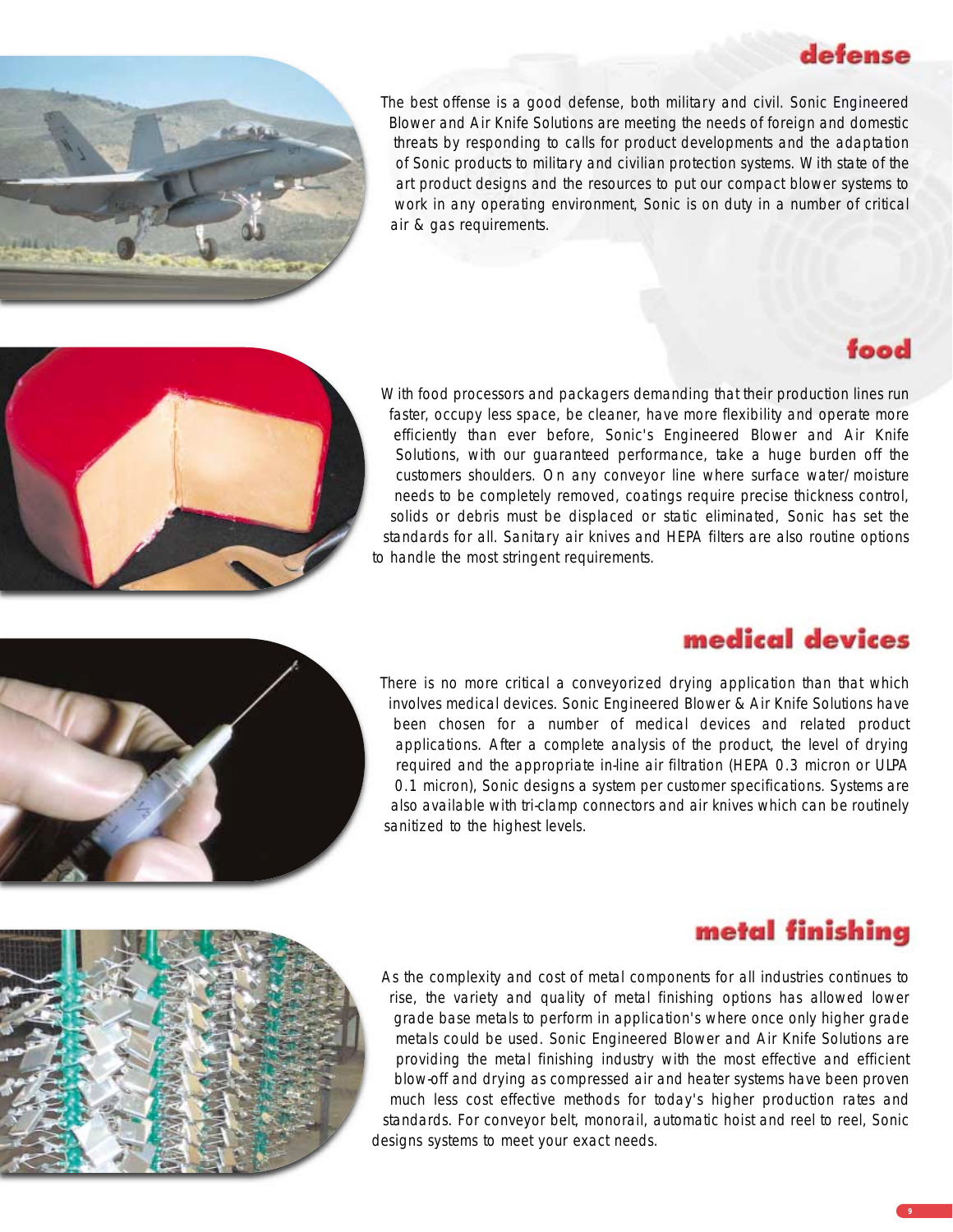# defense



The best offense is a good defense, both military and civil. Sonic Engineered Blower and Air Knife Solutions are meeting the needs of foreign and domestic threats by responding to calls for product developments and the adaptation of Sonic products to military and civilian protection systems. With state of the art product designs and the resources to put our compact blower systems to work in any operating environment, Sonic is on duty in a number of critical air & gas requirements.

# food



With food processors and packagers demanding that their production lines run faster, occupy less space, be cleaner, have more flexibility and operate more efficiently than ever before, Sonic's Engineered Blower and Air Knife Solutions, with our guaranteed performance, take a huge burden off the customers shoulders. On any conveyor line where surface water/moisture needs to be completely removed, coatings require precise thickness control, solids or debris must be displaced or static eliminated, Sonic has set the standards for all. Sanitary air knives and HEPA filters are also routine options to handle the most stringent requirements.



# medical devices

There is no more critical a conveyorized drying application than that which involves medical devices. Sonic Engineered Blower & Air Knife Solutions have been chosen for a number of medical devices and related product applications. After a complete analysis of the product, the level of drying required and the appropriate in-line air filtration (HEPA 0.3 micron or ULPA 0.1 micron), Sonic designs a system per customer specifications. Systems are also available with tri-clamp connectors and air knives which can be routinely sanitized to the highest levels.



# metal finishing

As the complexity and cost of metal components for all industries continues to rise, the variety and quality of metal finishing options has allowed lower grade base metals to perform in application's where once only higher grade metals could be used. Sonic Engineered Blower and Air Knife Solutions are providing the metal finishing industry with the most effective and efficient blow-off and drying as compressed air and heater systems have been proven much less cost effective methods for today's higher production rates and standards. For conveyor belt, monorail, automatic hoist and reel to reel, Sonic designs systems to meet your exact needs.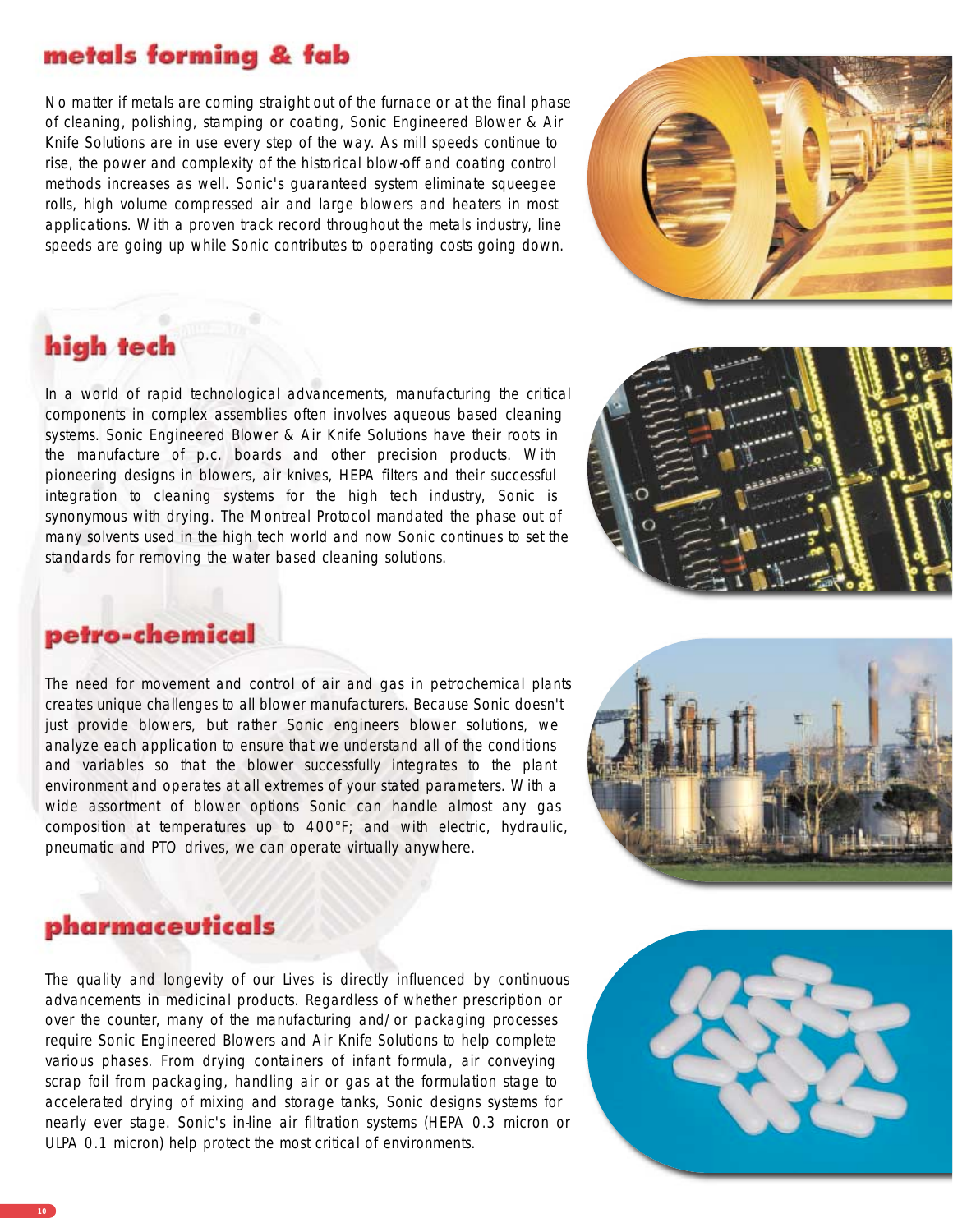# metals forming & fab

No matter if metals are coming straight out of the furnace or at the final phase of cleaning, polishing, stamping or coating, Sonic Engineered Blower & Air Knife Solutions are in use every step of the way. As mill speeds continue to rise, the power and complexity of the historical blow-off and coating control methods increases as well. Sonic's guaranteed system eliminate squeegee rolls, high volume compressed air and large blowers and heaters in most applications. With a proven track record throughout the metals industry, line speeds are going up while Sonic contributes to operating costs going down.



# high tech

In a world of rapid technological advancements, manufacturing the critical components in complex assemblies often involves aqueous based cleaning systems. Sonic Engineered Blower & Air Knife Solutions have their roots in the manufacture of p.c. boards and other precision products. With pioneering designs in blowers, air knives, HEPA filters and their successful integration to cleaning systems for the high tech industry, Sonic is synonymous with drying. The Montreal Protocol mandated the phase out of many solvents used in the high tech world and now Sonic continues to set the standards for removing the water based cleaning solutions.



### petro-chemical

The need for movement and control of air and gas in petrochemical plants creates unique challenges to all blower manufacturers. Because Sonic doesn't just provide blowers, but rather Sonic engineers blower solutions, we analyze each application to ensure that we understand all of the conditions and variables so that the blower successfully integrates to the plant environment and operates at all extremes of your stated parameters. With a wide assortment of blower options Sonic can handle almost any gas composition at temperatures up to 400°F; and with electric, hydraulic, pneumatic and PTO drives, we can operate virtually anywhere.



## pharmaceuticals

The quality and longevity of our Lives is directly influenced by continuous advancements in medicinal products. Regardless of whether prescription or over the counter, many of the manufacturing and/or packaging processes require Sonic Engineered Blowers and Air Knife Solutions to help complete various phases. From drying containers of infant formula, air conveying scrap foil from packaging, handling air or gas at the formulation stage to accelerated drying of mixing and storage tanks, Sonic designs systems for nearly ever stage. Sonic's in-line air filtration systems (HEPA 0.3 micron or ULPA 0.1 micron) help protect the most critical of environments.

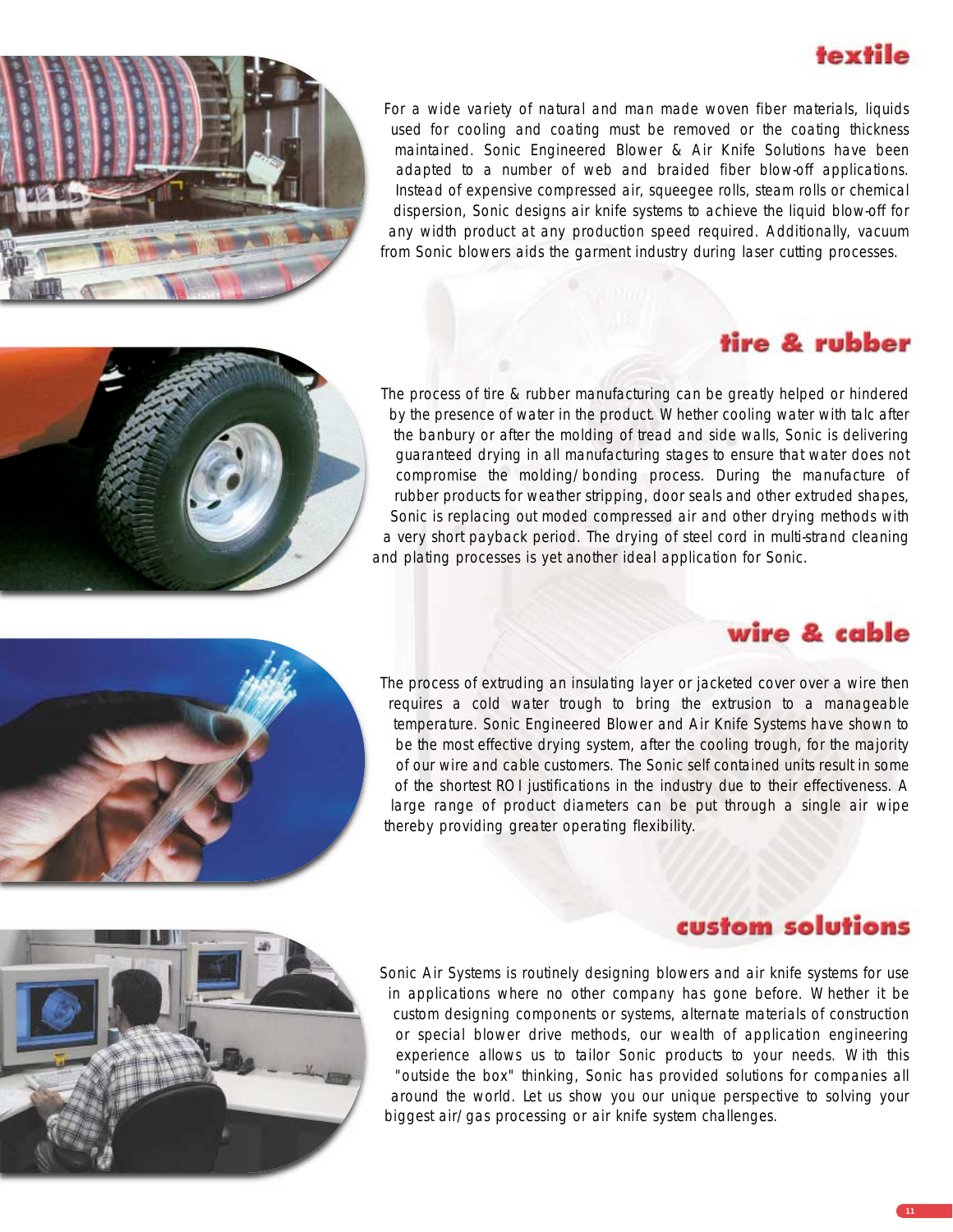# textile

For a wide variety of natural and man made woven fiber materials, liquids used for cooling and coating must be removed or the coating thickness maintained. Sonic Engineered Blower & Air Knife Solutions have been adapted to a number of web and braided fiber blow-off applications. Instead of expensive compressed air, squeegee rolls, steam rolls or chemical dispersion, Sonic designs air knife systems to achieve the liquid blow-off for any width product at any production speed required. Additionally, vacuum from Sonic blowers aids the garment industry during laser cutting processes.

# tire & rubber

The process of tire & rubber manufacturing can be greatly helped or hindered by the presence of water in the product. Whether cooling water with talc after the banbury or after the molding of tread and side walls, Sonic is delivering guaranteed drying in all manufacturing stages to ensure that water does not compromise the molding/bonding process. During the manufacture of rubber products for weather stripping, door seals and other extruded shapes, Sonic is replacing out moded compressed air and other drying methods with a very short payback period. The drying of steel cord in multi-strand cleaning and plating processes is yet another ideal application for Sonic.

# wire & cable

The process of extruding an insulating layer or jacketed cover over a wire then requires a cold water trough to bring the extrusion to a manageable temperature. Sonic Engineered Blower and Air Knife Systems have shown to be the most effective drying system, after the cooling trough, for the majority of our wire and cable customers. The Sonic self contained units result in some of the shortest ROI justifications in the industry due to their effectiveness. A large range of product diameters can be put through a single air wipe thereby providing greater operating flexibility.

# custom solutions

Sonic Air Systems is routinely designing blowers and air knife systems for use in applications where no other company has gone before. Whether it be custom designing components or systems, alternate materials of construction or special blower drive methods, our wealth of application engineering experience allows us to tailor Sonic products to your needs. With this "outside the box" thinking, Sonic has provided solutions for companies all around the world. Let us show you our unique perspective to solving your biggest air/gas processing or air knife system challenges.

**11**